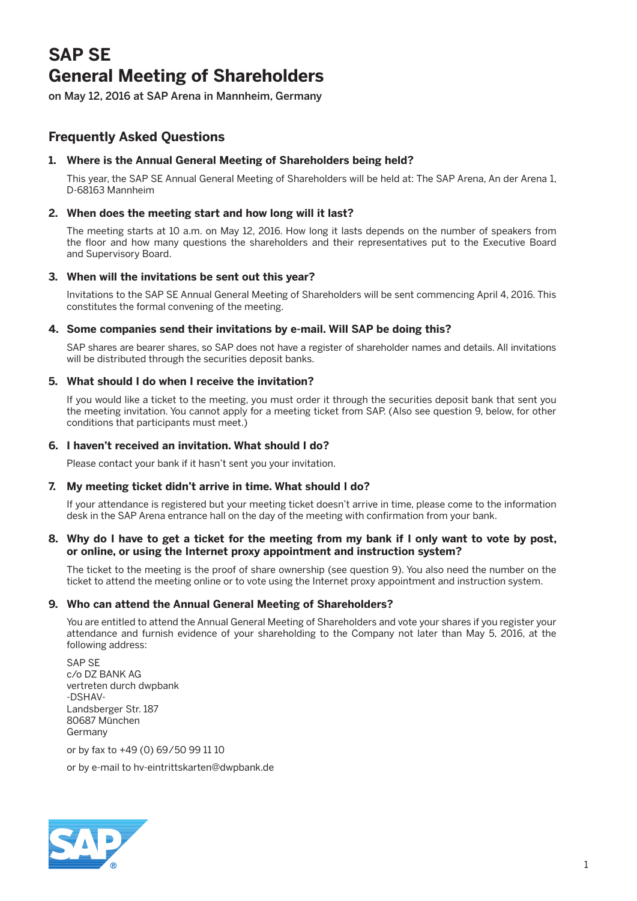# **SAP SE General Meeting of Shareholders**

on May 12, 2016 at SAP Arena in Mannheim, Germany

# **Frequently Asked Questions**

# **1. Where is the Annual General Meeting of Shareholders being held?**

 This year, the SAP SE Annual General Meeting of Shareholders will be held at: The SAP Arena, An der Arena 1, D-68163 Mannheim

# **2. When does the meeting start and how long will it last?**

 The meeting starts at 10 a.m. on May 12, 2016. How long it lasts depends on the number of speakers from the floor and how many questions the shareholders and their representatives put to the Executive Board and Supervisory Board.

# **3. When will the invitations be sent out this year?**

 Invitations to the SAP SE Annual General Meeting of Shareholders will be sent commencing April 4, 2016. This constitutes the formal convening of the meeting.

# **4. Some companies send their invitations by e-mail. Will SAP be doing this?**

 SAP shares are bearer shares, so SAP does not have a register of shareholder names and details. All invitations will be distributed through the securities deposit banks.

# **5. What should I do when I receive the invitation?**

 If you would like a ticket to the meeting, you must order it through the securities deposit bank that sent you the meeting invitation. You cannot apply for a meeting ticket from SAP. (Also see question 9, below, for other conditions that participants must meet.)

# **6. I haven't received an invitation. What should I do?**

Please contact your bank if it hasn't sent you your invitation.

# **7. My meeting ticket didn't arrive in time. What should I do?**

 If your attendance is registered but your meeting ticket doesn't arrive in time, please come to the information desk in the SAP Arena entrance hall on the day of the meeting with confirmation from your bank.

#### **8. Why do I have to get a ticket for the meeting from my bank if I only want to vote by post, or online, or using the Internet proxy appointment and instruction system?**

 The ticket to the meeting is the proof of share ownership (see question 9). You also need the number on the ticket to attend the meeting online or to vote using the Internet proxy appointment and instruction system.

# **9. Who can attend the Annual General Meeting of Shareholders?**

 You are entitled to attend the Annual General Meeting of Shareholders and vote your shares if you register your attendance and furnish evidence of your shareholding to the Company not later than May 5, 2016, at the following address:

 SAP SE c/o DZ BANK AG vertreten durch dwpbank -DSHAV-Landsberger Str. 187 80687 München Germany

or by fax to +49 (0) 69/50 99 11 10

or by e-mail to hv-eintrittskarten@dwpbank.de

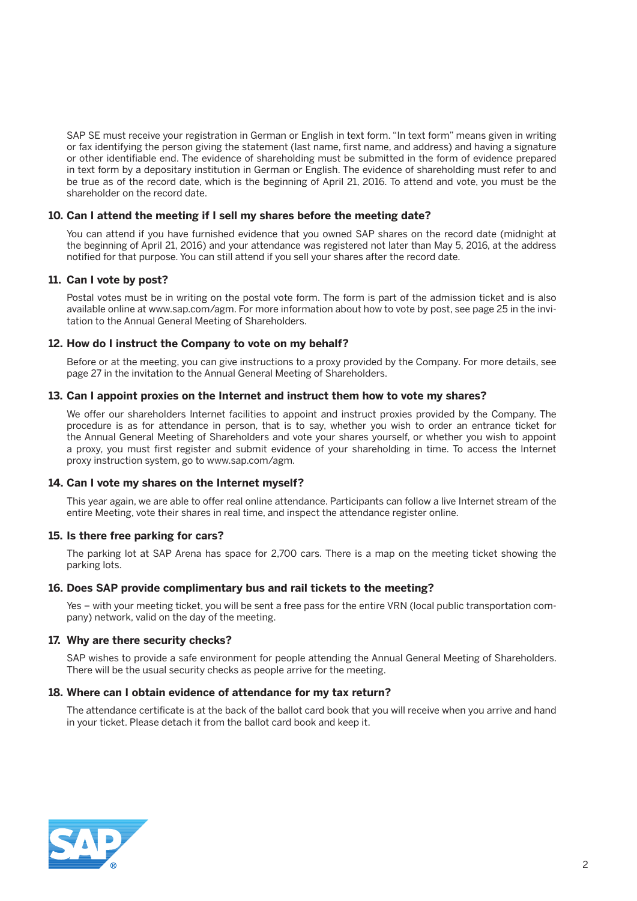SAP SE must receive your registration in German or English in text form. "In text form" means given in writing or fax identifying the person giving the statement (last name, first name, and address) and having a signature or other identifiable end. The evidence of shareholding must be submitted in the form of evidence prepared in text form by a depositary institution in German or English. The evidence of shareholding must refer to and be true as of the record date, which is the beginning of April 21, 2016. To attend and vote, you must be the shareholder on the record date.

#### **10. Can I attend the meeting if I sell my shares before the meeting date?**

 You can attend if you have furnished evidence that you owned SAP shares on the record date (midnight at the beginning of April 21, 2016) and your attendance was registered not later than May 5, 2016, at the address notified for that purpose. You can still attend if you sell your shares after the record date.

#### **11. Can I vote by post?**

 Postal votes must be in writing on the postal vote form. The form is part of the admission ticket and is also available online at www.sap.com/agm. For more information about how to vote by post, see page 25 in the invitation to the Annual General Meeting of Shareholders.

#### **12. How do I instruct the Company to vote on my behalf?**

 Before or at the meeting, you can give instructions to a proxy provided by the Company. For more details, see page 27 in the invitation to the Annual General Meeting of Shareholders.

#### **13. Can I appoint proxies on the Internet and instruct them how to vote my shares?**

 We offer our shareholders Internet facilities to appoint and instruct proxies provided by the Company. The procedure is as for attendance in person, that is to say, whether you wish to order an entrance ticket for the Annual General Meeting of Shareholders and vote your shares yourself, or whether you wish to appoint a proxy, you must first register and submit evidence of your shareholding in time. To access the Internet proxy instruction system, go to www.sap.com/agm.

#### **14. Can I vote my shares on the Internet myself?**

 This year again, we are able to offer real online attendance. Participants can follow a live Internet stream of the entire Meeting, vote their shares in real time, and inspect the attendance register online.

#### **15. Is there free parking for cars?**

 The parking lot at SAP Arena has space for 2,700 cars. There is a map on the meeting ticket showing the parking lots.

#### **16. Does SAP provide complimentary bus and rail tickets to the meeting?**

 Yes – with your meeting ticket, you will be sent a free pass for the entire VRN (local public transportation company) network, valid on the day of the meeting.

#### **17. Why are there security checks?**

 SAP wishes to provide a safe environment for people attending the Annual General Meeting of Shareholders. There will be the usual security checks as people arrive for the meeting.

#### **18. Where can I obtain evidence of attendance for my tax return?**

 The attendance certificate is at the back of the ballot card book that you will receive when you arrive and hand in your ticket. Please detach it from the ballot card book and keep it.